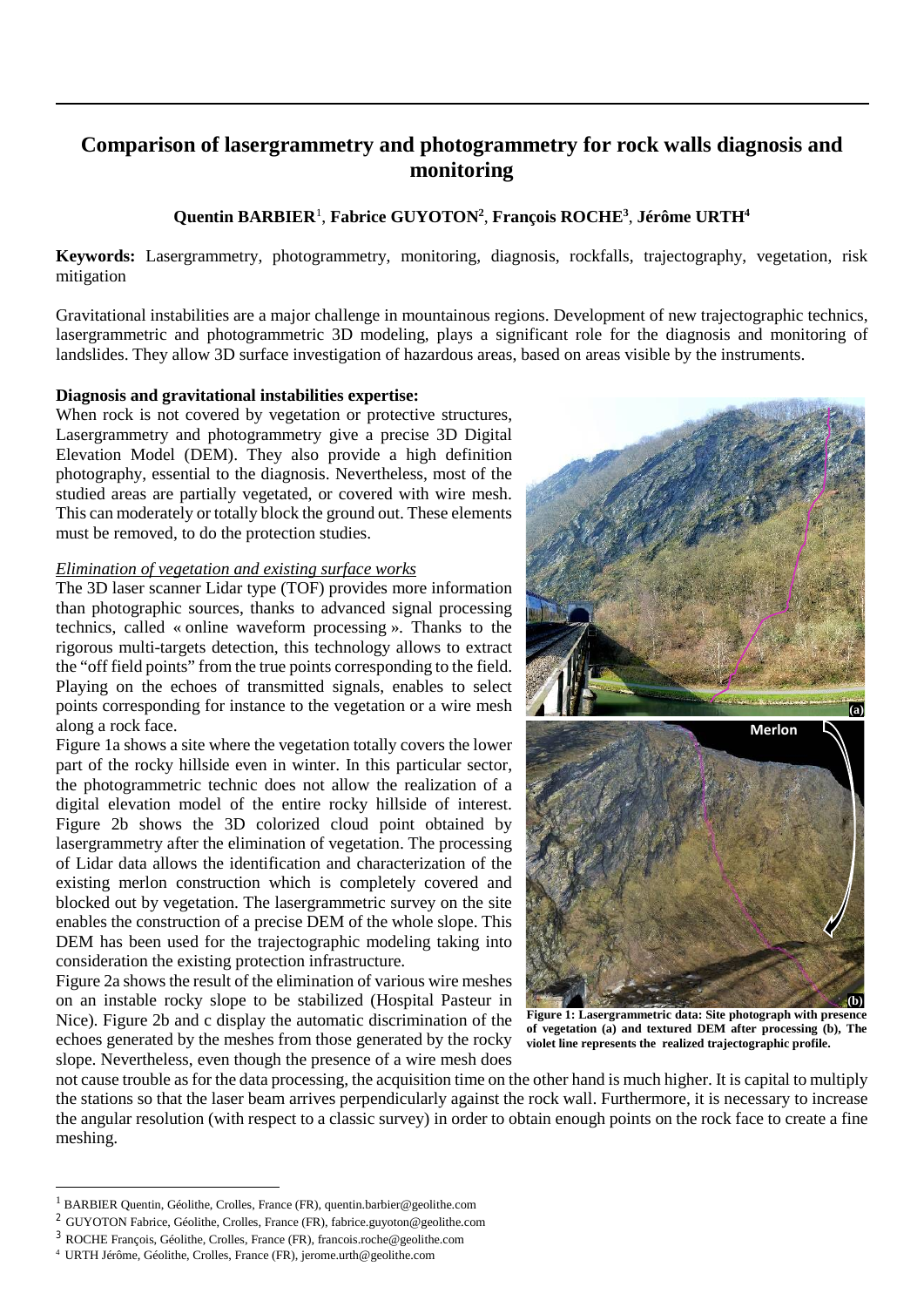# **Comparison of lasergrammetry and photogrammetry for rock walls diagnosis and monitoring**

# **Quentin BARBIER**[1](#page-0-0) , **Fabrice GUYOTON2** , **François ROCHE3** , **Jérôme URTH4**

**Keywords:** Lasergrammetry, photogrammetry, monitoring, diagnosis, rockfalls, trajectography, vegetation, risk mitigation

Gravitational instabilities are a major challenge in mountainous regions. Development of new trajectographic technics, lasergrammetric and photogrammetric 3D modeling, plays a significant role for the diagnosis and monitoring of landslides. They allow 3D surface investigation of hazardous areas, based on areas visible by the instruments.

#### **Diagnosis and gravitational instabilities expertise:**

When rock is not covered by vegetation or protective structures, Lasergrammetry and photogrammetry give a precise 3D Digital Elevation Model (DEM). They also provide a high definition photography, essential to the diagnosis. Nevertheless, most of the studied areas are partially vegetated, or covered with wire mesh. This can moderately or totally block the ground out. These elements must be removed, to do the protection studies.

#### *Elimination of vegetation and existing surface works*

The 3D laser scanner Lidar type (TOF) provides more information than photographic sources, thanks to advanced signal processing technics, called « online waveform processing ». Thanks to the rigorous multi-targets detection, this technology allows to extract the "off field points" from the true points corresponding to the field. Playing on the echoes of transmitted signals, enables to select points corresponding for instance to the vegetation or a wire mesh along a rock face.

Figure 1a shows a site where the vegetation totally covers the lower part of the rocky hillside even in winter. In this particular sector, the photogrammetric technic does not allow the realization of a digital elevation model of the entire rocky hillside of interest. Figure 2b shows the 3D colorized cloud point obtained by lasergrammetry after the elimination of vegetation. The processing of Lidar data allows the identification and characterization of the existing merlon construction which is completely covered and blocked out by vegetation. The lasergrammetric survey on the site enables the construction of a precise DEM of the whole slope. This DEM has been used for the trajectographic modeling taking into consideration the existing protection infrastructure.

Figure 2a shows the result of the elimination of various wire meshes on an instable rocky slope to be stabilized (Hospital Pasteur in Nice). Figure 2b and c display the automatic discrimination of the echoes generated by the meshes from those generated by the rocky slope. Nevertheless, even though the presence of a wire mesh does



**Figure 1: Lasergrammetric data: Site photograph with presence of vegetation (a) and textured DEM after processing (b), The violet line represents the realized trajectographic profile.**

not cause trouble as for the data processing, the acquisition time on the other hand is much higher. It is capital to multiply the stations so that the laser beam arrives perpendicularly against the rock wall. Furthermore, it is necessary to increase the angular resolution (with respect to a classic survey) in order to obtain enough points on the rock face to create a fine meshing.

-

<span id="page-0-0"></span><sup>1</sup> BARBIER Quentin, Géolithe, Crolles, France (FR)[, quentin.barbier@geolithe.com](mailto:quentin.barbier@geolithe.com)

<sup>2</sup> GUYOTON Fabrice, Géolithe, Crolles, France (FR)[, fabrice.guyoton@geolithe.com](mailto:fabrice.guyoton@geolithe.com)

<sup>3</sup> ROCHE François, Géolithe, Crolles, France (FR)[, francois.roche@geolithe.com](mailto:francois.roche@geolithe.com)

<sup>4</sup> URTH Jérôme, Géolithe, Crolles, France (FR)[, jerome.urth@geolithe.com](mailto:jerome.urth@geolithe.com)